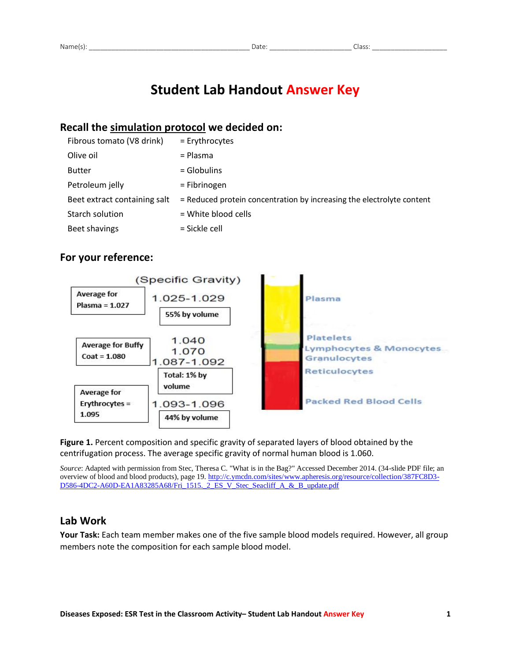# **Student Lab Handout Answer Key**

## **Recall the simulation protocol we decided on:**

| Fibrous tomato (V8 drink)    | = Erythrocytes                                                        |
|------------------------------|-----------------------------------------------------------------------|
| Olive oil                    | = Plasma                                                              |
| <b>Butter</b>                | $=$ Globulins                                                         |
| Petroleum jelly              | = Fibrinogen                                                          |
| Beet extract containing salt | = Reduced protein concentration by increasing the electrolyte content |
| Starch solution              | = White blood cells                                                   |
| Beet shavings                | = Sickle cell                                                         |

## **For your reference:**



**Figure 1.** Percent composition and specific gravity of separated layers of blood obtained by the centrifugation process. The average specific gravity of normal human blood is 1.060.

*Source*: Adapted with permission from Stec, Theresa C. "What is in the Bag?" Accessed December 2014. (34-slide PDF file; an overview of blood and blood products), page 19[. http://c.ymcdn.com/sites/www.apheresis.org/resource/collection/387FC8D3-](http://c.ymcdn.com/sites/www.apheresis.org/resource/collection/387FC8D3-D586-4DC2-A60D-EA1A83285A68/Fri_1515._2_ES_V_Stec_Seacliff_A_&_B_update.pdf) D586-4DC2-A60D-EA1A83285A68/Fri 1515. 2 ES\_V\_Stec\_Seacliff\_A\_&\_B\_update.pdf

## **Lab Work**

**Your Task:** Each team member makes one of the five sample blood models required. However, all group members note the composition for each sample blood model.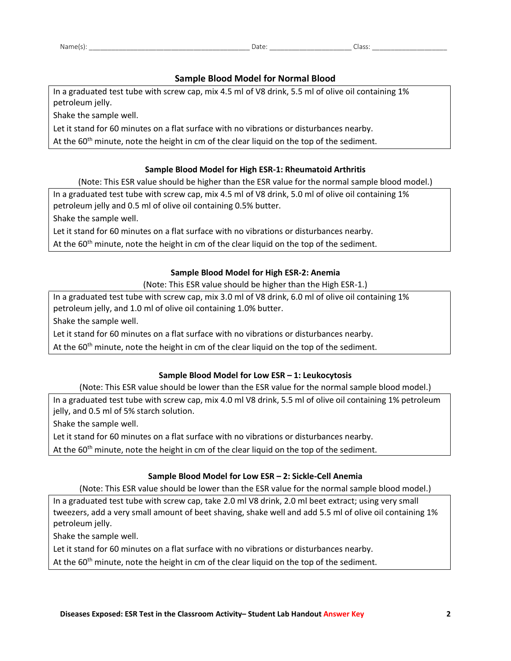### **Sample Blood Model for Normal Blood**

In a graduated test tube with screw cap, mix 4.5 ml of V8 drink, 5.5 ml of olive oil containing 1% petroleum jelly.

Shake the sample well.

Let it stand for 60 minutes on a flat surface with no vibrations or disturbances nearby.

At the 60<sup>th</sup> minute, note the height in cm of the clear liquid on the top of the sediment.

#### **Sample Blood Model for High ESR-1: Rheumatoid Arthritis**

(Note: This ESR value should be higher than the ESR value for the normal sample blood model.)

In a graduated test tube with screw cap, mix 4.5 ml of V8 drink, 5.0 ml of olive oil containing 1% petroleum jelly and 0.5 ml of olive oil containing 0.5% butter.

Shake the sample well.

Let it stand for 60 minutes on a flat surface with no vibrations or disturbances nearby.

At the  $60<sup>th</sup>$  minute, note the height in cm of the clear liquid on the top of the sediment.

#### **Sample Blood Model for High ESR-2: Anemia**

(Note: This ESR value should be higher than the High ESR-1.)

In a graduated test tube with screw cap, mix 3.0 ml of V8 drink, 6.0 ml of olive oil containing 1% petroleum jelly, and 1.0 ml of olive oil containing 1.0% butter.

Shake the sample well.

Let it stand for 60 minutes on a flat surface with no vibrations or disturbances nearby.

At the  $60<sup>th</sup>$  minute, note the height in cm of the clear liquid on the top of the sediment.

#### **Sample Blood Model for Low ESR – 1: Leukocytosis**

(Note: This ESR value should be lower than the ESR value for the normal sample blood model.)

In a graduated test tube with screw cap, mix 4.0 ml V8 drink, 5.5 ml of olive oil containing 1% petroleum jelly, and 0.5 ml of 5% starch solution.

Shake the sample well.

Let it stand for 60 minutes on a flat surface with no vibrations or disturbances nearby.

At the  $60<sup>th</sup>$  minute, note the height in cm of the clear liquid on the top of the sediment.

#### **Sample Blood Model for Low ESR – 2: Sickle-Cell Anemia**

(Note: This ESR value should be lower than the ESR value for the normal sample blood model.)

In a graduated test tube with screw cap, take 2.0 ml V8 drink, 2.0 ml beet extract; using very small tweezers, add a very small amount of beet shaving, shake well and add 5.5 ml of olive oil containing 1% petroleum jelly.

Shake the sample well.

Let it stand for 60 minutes on a flat surface with no vibrations or disturbances nearby.

At the 60<sup>th</sup> minute, note the height in cm of the clear liquid on the top of the sediment.